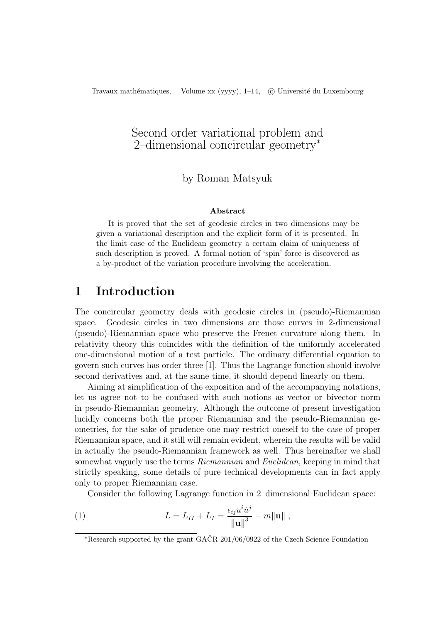# Second order variational problem and 2–dimensional concircular geometry<sup>∗</sup>

### by Roman Matsyuk

#### Abstract

It is proved that the set of geodesic circles in two dimensions may be given a variational description and the explicit form of it is presented. In the limit case of the Euclidean geometry a certain claim of uniqueness of such description is proved. A formal notion of 'spin' force is discovered as a by-product of the variation procedure involving the acceleration.

# 1 Introduction

The concircular geometry deals with geodesic circles in (pseudo)-Riemannian space. Geodesic circles in two dimensions are those curves in 2-dimensional (pseudo)-Riemannian space who preserve the Frenet curvature along them. In relativity theory this coincides with the definition of the uniformly accelerated one-dimensional motion of a test particle. The ordinary differential equation to govern such curves has order three [1]. Thus the Lagrange function should involve second derivatives and, at the same time, it should depend linearly on them.

Aiming at simplification of the exposition and of the accompanying notations, let us agree not to be confused with such notions as vector or bivector norm in pseudo-Riemannian geometry. Although the outcome of present investigation lucidly concerns both the proper Riemannian and the pseudo-Riemannian geometries, for the sake of prudence one may restrict oneself to the case of proper Riemannian space, and it still will remain evident, wherein the results will be valid in actually the pseudo-Riemannian framework as well. Thus hereinafter we shall somewhat vaguely use the terms Riemannian and Euclidean, keeping in mind that strictly speaking, some details of pure technical developments can in fact apply only to proper Riemannian case.

Consider the following Lagrange function in 2–dimensional Euclidean space:

(1) 
$$
L = L_{II} + L_{I} = \frac{\epsilon_{ij} u^{i} \dot{u}^{j}}{\|\mathbf{u}\|^{3}} - m\|\mathbf{u}\|,
$$

<sup>\*</sup>Research supported by the grant  $GACR$  201/06/0922 of the Czech Science Foundation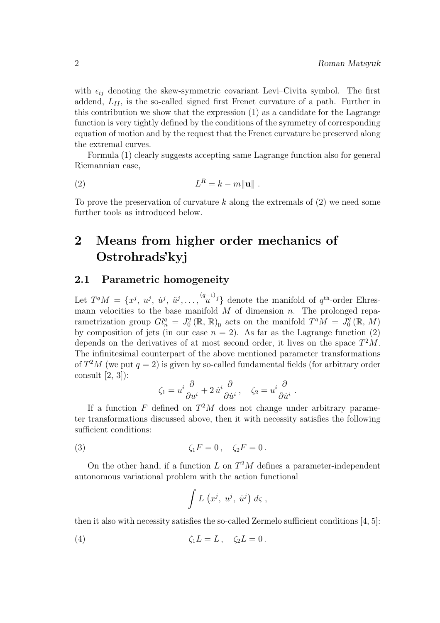with  $\epsilon_{ij}$  denoting the skew-symmetric covariant Levi–Civita symbol. The first addend,  $L_{II}$ , is the so-called signed first Frenet curvature of a path. Further in this contribution we show that the expression (1) as a candidate for the Lagrange function is very tightly defined by the conditions of the symmetry of corresponding equation of motion and by the request that the Frenet curvature be preserved along the extremal curves.

Formula (1) clearly suggests accepting same Lagrange function also for general Riemannian case,

$$
(2) \t\t\t LR = k - m||u||.
$$

To prove the preservation of curvature  $k$  along the extremals of  $(2)$  we need some further tools as introduced below.

# 2 Means from higher order mechanics of Ostrohrads'kyj

### 2.1 Parametric homogeneity

Let  $T^qM = \{x^j, u^j, u^j, u^j, \ldots, u^{(q-1)j}\}\$  denote the manifold of  $q^{\text{th}}$ -order Ehresmann velocities to the base manifold  $M$  of dimension n. The prolonged reparametrization group  $Gl_n^q = J_0^q$  $\binom{q}{0}$  (R, R)<sub>0</sub> acts on the manifold  $T^qM = J_0^q$  $_0^q\left(\mathbb{R},\,M\right)$ by composition of jets (in our case  $n = 2$ ). As far as the Lagrange function (2) depends on the derivatives of at most second order, it lives on the space  $T^2M$ . The infinitesimal counterpart of the above mentioned parameter transformations of  $T^2M$  (we put  $q=2$ ) is given by so-called fundamental fields (for arbitrary order consult [2, 3]):

$$
\zeta_1 = u^i \frac{\partial}{\partial u^i} + 2 \dot{u}^i \frac{\partial}{\partial \dot{u}^i}, \quad \zeta_2 = u^i \frac{\partial}{\partial \dot{u}^i}.
$$

If a function F defined on  $T^2M$  does not change under arbitrary parameter transformations discussed above, then it with necessity satisfies the following sufficient conditions:

(3) 
$$
\zeta_1 F = 0, \quad \zeta_2 F = 0.
$$

On the other hand, if a function L on  $T^2M$  defines a parameter-independent autonomous variational problem with the action functional

$$
\int L\,\left(x^j,\;u^j,\; \dot{u}^j\right)\,d\varsigma\;,
$$

then it also with necessity satisfies the so-called Zermelo sufficient conditions [4, 5]:

$$
\zeta_1 L = L, \quad \zeta_2 L = 0.
$$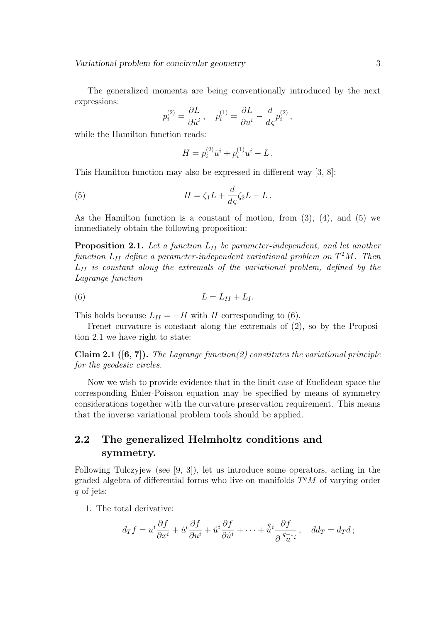Variational problem for concircular geometry 3

The generalized momenta are being conventionally introduced by the next expressions:

$$
p_i^{(2)} = \frac{\partial L}{\partial \dot{u}^i}, \quad p_i^{(1)} = \frac{\partial L}{\partial u^i} - \frac{d}{d\varsigma} p_i^{(2)},
$$

while the Hamilton function reads:

$$
H = p_i^{(2)} \dot{u}^i + p_i^{(1)} u^i - L.
$$

This Hamilton function may also be expressed in different way [3, 8]:

(5) 
$$
H = \zeta_1 L + \frac{d}{d\zeta} \zeta_2 L - L.
$$

As the Hamilton function is a constant of motion, from  $(3)$ ,  $(4)$ , and  $(5)$  we immediately obtain the following proposition:

**Proposition 2.1.** Let a function  $L_{II}$  be parameter-independent, and let another function  $L_{II}$  define a parameter-independent variational problem on  $T^2M$ . Then  $L_{II}$  is constant along the extremals of the variational problem, defined by the Lagrange function

$$
(6) \t\t\t L = LII + LI.
$$

This holds because  $L_{II} = -H$  with H corresponding to (6).

Frenet curvature is constant along the extremals of (2), so by the Proposition 2.1 we have right to state:

**Claim 2.1** ([6, 7]). The Lagrange function(2) constitutes the variational principle for the geodesic circles.

Now we wish to provide evidence that in the limit case of Euclidean space the corresponding Euler-Poisson equation may be specified by means of symmetry considerations together with the curvature preservation requirement. This means that the inverse variational problem tools should be applied.

## 2.2 The generalized Helmholtz conditions and symmetry.

Following Tulczyjew (see [9, 3]), let us introduce some operators, acting in the graded algebra of differential forms who live on manifolds  $T<sup>q</sup>M$  of varying order q of jets:

1. The total derivative:

$$
d_T f = u^i \frac{\partial f}{\partial x^i} + \dot{u}^i \frac{\partial f}{\partial u^i} + \ddot{u}^i \frac{\partial f}{\partial \dot{u}^i} + \dots + \dot{u}^i \frac{\partial f}{\partial u^i} , \quad d d_T = d_T d ;
$$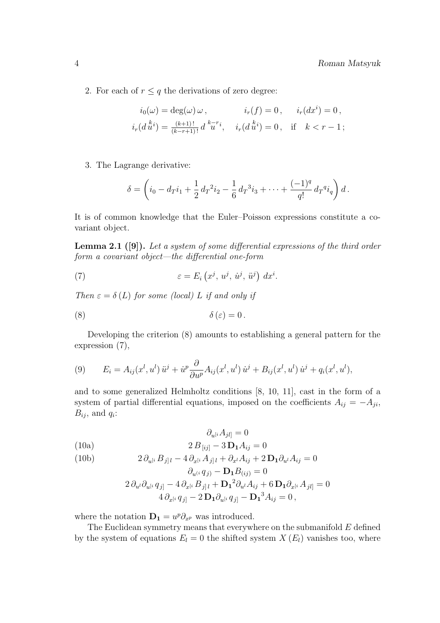2. For each of  $r \leq q$  the derivations of zero degree:

$$
i_0(\omega) = \deg(\omega) \omega, \qquad i_r(f) = 0, \quad i_r(dx^i) = 0,
$$
  

$$
i_r(d^{ki}) = \frac{(k+1)!}{(k-r+1)!} d^{k-r}i, \quad i_r(d^{ki}) = 0, \quad \text{if} \quad k < r-1;
$$

3. The Lagrange derivative:

$$
\delta = \left(i_0 - d_T i_1 + \frac{1}{2} d_T^2 i_2 - \frac{1}{6} d_T^3 i_3 + \dots + \frac{(-1)^q}{q!} d_T^q i_q\right) d.
$$

It is of common knowledge that the Euler–Poisson expressions constitute a covariant object.

Lemma 2.1 ([9]). Let a system of some differential expressions of the third order form a covariant object—the differential one-form

(7) 
$$
\varepsilon = E_i(x^j, u^j, \dot{u}^j, \ddot{u}^j) dx^i.
$$

Then  $\varepsilon = \delta(L)$  for some (local) L if and only if

$$
\delta(\varepsilon) = 0.
$$

Developing the criterion (8) amounts to establishing a general pattern for the expression (7),

(9) 
$$
E_i = A_{ij}(x^l, u^l) \ddot{u}^j + \dot{u}^p \frac{\partial}{\partial u^p} A_{ij}(x^l, u^l) \dot{u}^j + B_{ij}(x^l, u^l) \dot{u}^j + q_i(x^l, u^l),
$$

and to some generalized Helmholtz conditions [8, 10, 11], cast in the form of a system of partial differential equations, imposed on the coefficients  $A_{ij} = -A_{ji}$ ,  $B_{ij}$ , and  $q_i$ :

(10a)  
\n
$$
\partial_{u^{[i}} A_{jl]} = 0
$$
\n
$$
2 B_{[ij]} - 3 \mathbf{D_1} A_{ij} = 0
$$

(10b) 
$$
2 \, \partial_{u^{[i}} B_{j]l} - 4 \, \partial_{x^{[i}} A_{j]l} + \partial_{x^l} A_{ij} + 2 \, \mathbf{D_1} \partial_{u^l} A_{ij} = 0
$$

$$
\partial_{u^{(i}} q_{j)} - \mathbf{D_1} B_{(ij)} = 0
$$
  

$$
2 \partial_{u^{l}} \partial_{u^{[i}} q_{j]} - 4 \partial_{x^{[i}} B_{j]l} + \mathbf{D_1}^2 \partial_{u^{l}} A_{ij} + 6 \mathbf{D_1} \partial_{x^{[i}} A_{jl}] = 0
$$
  

$$
4 \partial_{x^{[i}} q_{j]} - 2 \mathbf{D_1} \partial_{u^{[i}} q_{j]} - \mathbf{D_1}^3 A_{ij} = 0,
$$

where the notation  $\mathbf{D}_1 = u^p \partial_{x^p}$  was introduced.

The Euclidean symmetry means that everywhere on the submanifold  $E$  defined by the system of equations  $E_l = 0$  the shifted system  $X(E_l)$  vanishes too, where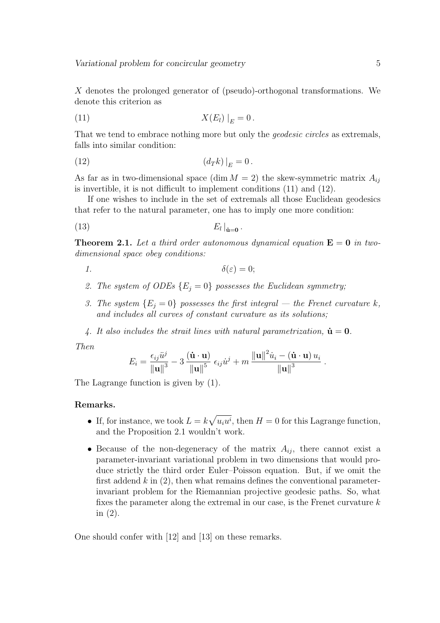X denotes the prolonged generator of (pseudo)-orthogonal transformations. We denote this criterion as

$$
X(E_l) \big|_E = 0.
$$

That we tend to embrace nothing more but only the *geodesic circles* as extremals, falls into similar condition:

$$
(12) \t\t (d_T k)\big|_E = 0.
$$

As far as in two-dimensional space (dim  $M = 2$ ) the skew-symmetric matrix  $A_{ij}$ is invertible, it is not difficult to implement conditions (11) and (12).

If one wishes to include in the set of extremals all those Euclidean geodesics that refer to the natural parameter, one has to imply one more condition:

$$
(13) \t E_l|_{\dot{\mathbf{u}}=\mathbf{0}}.
$$

**Theorem 2.1.** Let a third order autonomous dynamical equation  $E = 0$  in twodimensional space obey conditions:

$$
1. \hspace{3.1em} \delta(\varepsilon) = 0;
$$

- 2. The system of ODEs  ${E_i = 0}$  possesses the Euclidean symmetry;
- 3. The system  ${E_i = 0}$  possesses the first integral the Frenet curvature k, and includes all curves of constant curvature as its solutions;
- 4. It also includes the strait lines with natural parametrization,  $\dot{\mathbf{u}} = \mathbf{0}$ .

Then

$$
E_i = \frac{\epsilon_{ij} \ddot{u}^j}{\Vert \mathbf{u} \Vert^3} - 3 \frac{(\mathbf{\dot{u} \cdot u})}{\Vert \mathbf{u} \Vert^5} \epsilon_{ij} \dot{u}^j + m \frac{\Vert \mathbf{u} \Vert^2 \dot{u}_i - (\mathbf{\dot{u} \cdot u}) u_i}{\Vert \mathbf{u} \Vert^3}.
$$

The Lagrange function is given by (1).

#### Remarks.

- If, for instance, we took  $L = k$ p  $u_i u^i$ , then  $H = 0$  for this Lagrange function, and the Proposition 2.1 wouldn't work.
- Because of the non-degeneracy of the matrix  $A_{ij}$ , there cannot exist a parameter-invariant variational problem in two dimensions that would produce strictly the third order Euler–Poisson equation. But, if we omit the first addend  $k$  in (2), then what remains defines the conventional parameterinvariant problem for the Riemannian projective geodesic paths. So, what fixes the parameter along the extremal in our case, is the Frenet curvature  $k$ in (2).

One should confer with [12] and [13] on these remarks.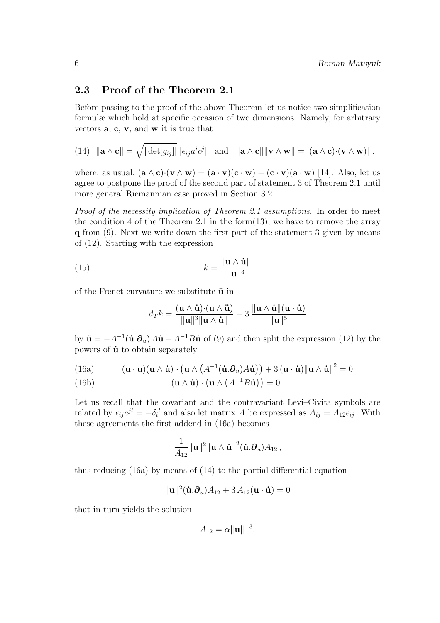### 2.3 Proof of the Theorem 2.1

Before passing to the proof of the above Theorem let us notice two simplification formulæ which hold at specific occasion of two dimensions. Namely, for arbitrary vectors a, c, v, and w it is true that

(14) 
$$
\|\mathbf{a} \wedge \mathbf{c}\| = \sqrt{|\det[g_{ij}]|} |\epsilon_{ij} a^i c^j|
$$
 and  $\|\mathbf{a} \wedge \mathbf{c}\| \|\mathbf{v} \wedge \mathbf{w}\| = |(\mathbf{a} \wedge \mathbf{c}) \cdot (\mathbf{v} \wedge \mathbf{w})|$ ,

where, as usual,  $(\mathbf{a} \wedge \mathbf{c}) \cdot (\mathbf{v} \wedge \mathbf{w}) = (\mathbf{a} \cdot \mathbf{v})(\mathbf{c} \cdot \mathbf{w}) - (\mathbf{c} \cdot \mathbf{v})(\mathbf{a} \cdot \mathbf{w})$  [14]. Also, let us agree to postpone the proof of the second part of statement 3 of Theorem 2.1 until more general Riemannian case proved in Section 3.2.

Proof of the necessity implication of Theorem 2.1 assumptions. In order to meet the condition 4 of the Theorem 2.1 in the form $(13)$ , we have to remove the array q from (9). Next we write down the first part of the statement 3 given by means of (12). Starting with the expression

(15) 
$$
k = \frac{\|\mathbf{u} \wedge \dot{\mathbf{u}}\|}{\|\mathbf{u}\|^3}
$$

of the Frenet curvature we substitute  $\ddot{\mathbf{u}}$  in

$$
d_Tk = \frac{(\mathbf{u} \wedge \dot{\mathbf{u}}) \cdot (\mathbf{u} \wedge \ddot{\mathbf{u}})}{\|\mathbf{u}\|^3 \|\mathbf{u} \wedge \dot{\mathbf{u}}\|} - 3 \frac{\|\mathbf{u} \wedge \dot{\mathbf{u}}\| (\mathbf{u} \cdot \ddot{\mathbf{u}})}{\|\mathbf{u}\|^5}
$$

by  $\ddot{\mathbf{u}} = -A^{-1}(\dot{\mathbf{u}}.\partial_u) A\dot{\mathbf{u}} - A^{-1}B\dot{\mathbf{u}}$  of (9) and then split the expression (12) by the powers of  $\dot{u}$  to obtain separately

(16a) 
$$
(\mathbf{u} \cdot \mathbf{u})(\mathbf{u} \wedge \dot{\mathbf{u}}) \cdot (\mathbf{u} \wedge (A^{-1}(\dot{\mathbf{u}}.\partial_u)A\dot{\mathbf{u}})) + 3(\mathbf{u} \cdot \dot{\mathbf{u}}) \|\mathbf{u} \wedge \dot{\mathbf{u}}\|^2 = 0
$$

(16b)  
\n
$$
(\mathbf{u} \wedge \mathbf{u}) \cdot (\mathbf{u} \wedge (A^{-1}B\mathbf{u})) = 0.
$$

Let us recall that the covariant and the contravariant Levi–Civita symbols are related by  $\epsilon_{ij}e^{jl} = -\delta_i^l$  and also let matrix A be expressed as  $A_{ij} = A_{12}\epsilon_{ij}$ . With these agreements the first addend in (16a) becomes

$$
\frac{1}{A_{12}}\|\mathbf{u}\|^2\|\mathbf{u}\wedge\dot{\mathbf{u}}\|^2(\dot{\mathbf{u}}.\boldsymbol{\partial}_u)A_{12}\,,
$$

thus reducing (16a) by means of (14) to the partial differential equation

$$
\|\mathbf{u}\|^2(\dot{\mathbf{u}}.\partial_u)A_{12} + 3A_{12}(\mathbf{u}\cdot\dot{\mathbf{u}}) = 0
$$

that in turn yields the solution

$$
A_{12} = \alpha ||\mathbf{u}||^{-3}.
$$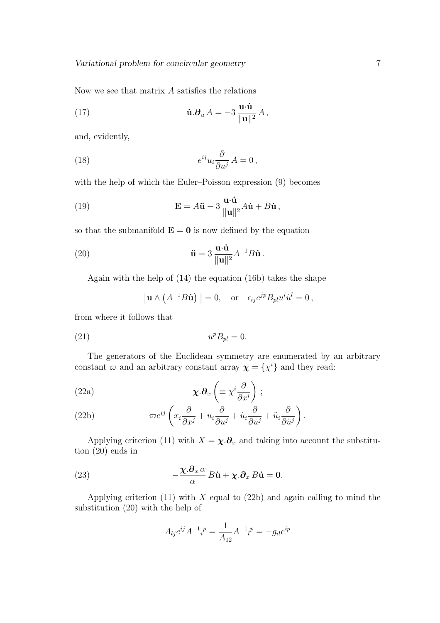Now we see that matrix A satisfies the relations

(17) 
$$
\dot{\mathbf{u}}.\boldsymbol{\partial}_u A = -3 \frac{\mathbf{u} \cdot \dot{\mathbf{u}}}{\|\mathbf{u}\|^2} A,
$$

and, evidently,

(18) 
$$
e^{ij}u_i\frac{\partial}{\partial u^j}A=0\,,
$$

with the help of which the Euler–Poisson expression (9) becomes

(19) 
$$
\mathbf{E} = A\ddot{\mathbf{u}} - 3\frac{\mathbf{u}\cdot\dot{\mathbf{u}}}{\|\mathbf{u}\|^2}A\dot{\mathbf{u}} + B\dot{\mathbf{u}},
$$

so that the submanifold  $\mathbf{E} = \mathbf{0}$  is now defined by the equation

(20) 
$$
\ddot{\mathbf{u}} = 3 \frac{\mathbf{u} \cdot \dot{\mathbf{u}}}{\|\mathbf{u}\|^2} A^{-1} B \dot{\mathbf{u}}.
$$

Again with the help of (14) the equation (16b) takes the shape

$$
\|\mathbf{u} \wedge (A^{-1}B\dot{\mathbf{u}})\| = 0
$$
, or  $\epsilon_{ij}e^{jp}B_{pl}u^i\dot{u}^l = 0$ ,

from where it follows that

$$
(21) \t\t upBpl = 0.
$$

The generators of the Euclidean symmetry are enumerated by an arbitrary constant  $\varpi$  and an arbitrary constant array  $\chi = {\chi^i}$  and they read:

(22a) 
$$
\mathbf{\chi}.\mathbf{\partial}_x \left( \equiv \chi^i \frac{\partial}{\partial x^i} \right);
$$

(22b) 
$$
\varpi e^{ij} \left( x_i \frac{\partial}{\partial x^j} + u_i \frac{\partial}{\partial u^j} + \dot{u}_i \frac{\partial}{\partial \dot{u}^j} + \ddot{u}_i \frac{\partial}{\partial \ddot{u}^j} \right).
$$

Applying criterion (11) with  $X = \chi \cdot \partial_x$  and taking into account the substitution (20) ends in

(23) 
$$
-\frac{\chi.\partial_x \alpha}{\alpha} B\dot{\mathbf{u}} + \chi.\partial_x B\dot{\mathbf{u}} = \mathbf{0}.
$$

Applying criterion (11) with  $X$  equal to (22b) and again calling to mind the substitution (20) with the help of

$$
A_{lj}e^{ij}A^{-1}{}_{i}{}^{p} = \frac{1}{A_{12}}A^{-1}{}_{l}{}^{p} = -g_{il}e^{ip}
$$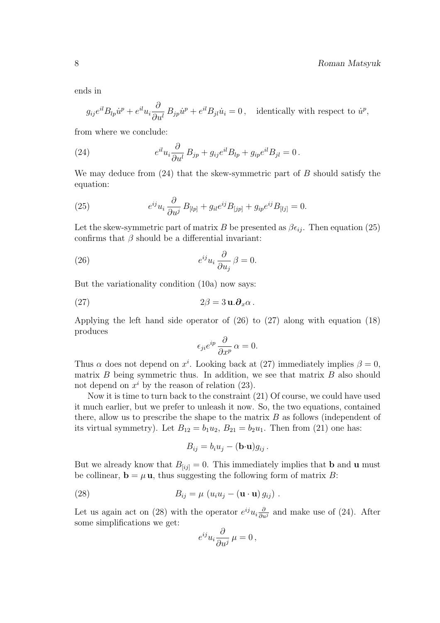ends in

$$
g_{ij}e^{il}B_{lp}\dot{u}^p + e^{il}u_i\frac{\partial}{\partial u^l}B_{jp}\dot{u}^p + e^{il}B_{jl}\dot{u}_i = 0, \text{ identically with respect to } \dot{u}^p,
$$

from where we conclude:

(24) 
$$
e^{il}u_i\frac{\partial}{\partial u^l}B_{jp}+g_{ij}e^{il}B_{lp}+g_{ip}e^{il}B_{jl}=0.
$$

We may deduce from  $(24)$  that the skew-symmetric part of B should satisfy the equation:

(25) 
$$
e^{ij}u_i \frac{\partial}{\partial u^j} B_{[lp]} + g_{il}e^{ij}B_{[jp]} + g_{ip}e^{ij}B_{[lj]} = 0.
$$

Let the skew-symmetric part of matrix B be presented as  $\beta \epsilon_{ij}$ . Then equation (25) confirms that  $\beta$  should be a differential invariant:

(26) 
$$
e^{ij}u_i \frac{\partial}{\partial u_j} \beta = 0.
$$

But the variationality condition (10a) now says:

$$
(27) \t\t 2\beta = 3 \mathbf{u}.\boldsymbol{\partial}_x \alpha .
$$

Applying the left hand side operator of (26) to (27) along with equation (18) produces

$$
\epsilon_{ji}e^{ip}\frac{\partial}{\partial x^p}\,\alpha=0.
$$

Thus  $\alpha$  does not depend on  $x^i$ . Looking back at (27) immediately implies  $\beta = 0$ , matrix  $B$  being symmetric thus. In addition, we see that matrix  $B$  also should not depend on  $x^i$  by the reason of relation (23).

Now it is time to turn back to the constraint (21) Of course, we could have used it much earlier, but we prefer to unleash it now. So, the two equations, contained there, allow us to prescribe the shape to the matrix  $B$  as follows (independent of its virtual symmetry). Let  $B_{12} = b_1u_2$ ,  $B_{21} = b_2u_1$ . Then from (21) one has:

$$
B_{ij} = b_i u_j - (\mathbf{b} \cdot \mathbf{u}) g_{ij} .
$$

But we already know that  $B_{[ij]} = 0$ . This immediately implies that **b** and **u** must be collinear,  $\mathbf{b} = \mu \mathbf{u}$ , thus suggesting the following form of matrix B:

(28) 
$$
B_{ij} = \mu \left( u_i u_j - (\mathbf{u} \cdot \mathbf{u}) g_{ij} \right).
$$

Let us again act on (28) with the operator  $e^{ij}u_i\frac{\partial}{\partial u^j}$  and make use of (24). After some simplifications we get:

$$
e^{ij}u_i\frac{\partial}{\partial u^j}\,\mu=0\,,
$$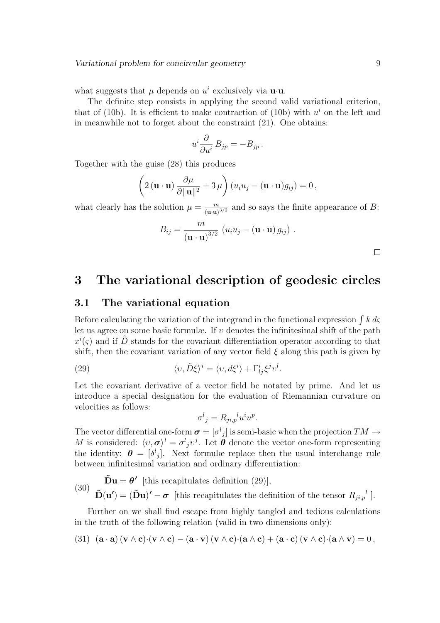what suggests that  $\mu$  depends on  $u^i$  exclusively via **u**·**u**.

The definite step consists in applying the second valid variational criterion, that of (10b). It is efficient to make contraction of (10b) with  $u^i$  on the left and in meanwhile not to forget about the constraint (21). One obtains:

$$
u^i\frac{\partial}{\partial u^i}B_{jp}=-B_{jp}.
$$

Together with the guise (28) this produces

$$
\left(2(\mathbf{u}\cdot\mathbf{u})\frac{\partial\mu}{\partial\|\mathbf{u}\|^2}+3\,\mu\right)(u_iu_j-(\mathbf{u}\cdot\mathbf{u})g_{ij})=0\,,
$$

what clearly has the solution  $\mu = \frac{m}{\langle m \rangle}$  $\frac{m}{(u\cdot u)^{3/2}}$  and so says the finite appearance of B:

$$
B_{ij} = \frac{m}{(\mathbf{u} \cdot \mathbf{u})^{3/2}} (u_i u_j - (\mathbf{u} \cdot \mathbf{u}) g_{ij}).
$$

# 3 The variational description of geodesic circles

### 3.1 The variational equation

Before calculating the variation of the integrand in the functional expression  $\int k \, d\varsigma$ let us agree on some basic formulæ. If  $v$  denotes the infinitesimal shift of the path  $x^{i}(\zeta)$  and if  $\tilde{D}$  stands for the covariant differentiation operator according to that shift, then the covariant variation of any vector field  $\xi$  along this path is given by

(29) 
$$
\langle v, \tilde{D}\xi \rangle^i = \langle v, d\xi^i \rangle + \Gamma^i_{lj} \xi^j v^l.
$$

Let the covariant derivative of a vector field be notated by prime. And let us introduce a special designation for the evaluation of Riemannian curvature on velocities as follows:

$$
\sigma^l{}_j = R_{ji,p}{}^l u^i u^p.
$$

The vector differential one-form  $\boldsymbol{\sigma} = [\sigma^l{}_j]$  is semi-basic when the projection  $TM \to$ M is considered:  $\langle v, \sigma \rangle^l = \sigma^l{}_j v^j$ . Let  $\theta$  denote the vector one-form representing the identity:  $\boldsymbol{\theta} = [\delta^l{}_j]$ . Next formulæ replace then the usual interchange rule between infinitesimal variation and ordinary differentiation:

(30) 
$$
\tilde{\mathbf{D}}\mathbf{u} = \boldsymbol{\theta}'
$$
 [this recapitulates definition (29)],  
 $\tilde{\mathbf{D}}(\mathbf{u}') = (\tilde{\mathbf{D}}\mathbf{u})' - \boldsymbol{\sigma}$  [this recapitulates the definition of the tensor  $R_{ji,p}{}^l$ ].

Further on we shall find escape from highly tangled and tedious calculations in the truth of the following relation (valid in two dimensions only):

(31) 
$$
(\mathbf{a} \cdot \mathbf{a}) (\mathbf{v} \wedge \mathbf{c}) \cdot (\mathbf{v} \wedge \mathbf{c}) - (\mathbf{a} \cdot \mathbf{v}) (\mathbf{v} \wedge \mathbf{c}) \cdot (\mathbf{a} \wedge \mathbf{c}) + (\mathbf{a} \cdot \mathbf{c}) (\mathbf{v} \wedge \mathbf{c}) \cdot (\mathbf{a} \wedge \mathbf{v}) = 0
$$
,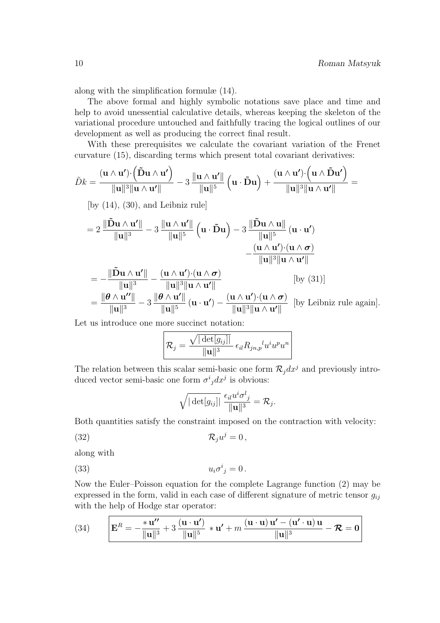along with the simplification formulæ (14).

The above formal and highly symbolic notations save place and time and help to avoid unessential calculative details, whereas keeping the skeleton of the variational procedure untouched and faithfully tracing the logical outlines of our development as well as producing the correct final result.

With these prerequisites we calculate the covariant variation of the Frenet curvature (15), discarding terms which present total covariant derivatives:  $\overline{a}$ ´  $\overline{a}$ ´

$$
\tilde{D}k = \frac{(\mathbf{u}\wedge\mathbf{u}')\cdot(\mathbf{\tilde{D}}\mathbf{u}\wedge\mathbf{u}')}{\|\mathbf{u}\|^3\|\mathbf{u}\wedge\mathbf{u}'\|} - 3\,\frac{\|\mathbf{u}\wedge\mathbf{u}'\|}{\|\mathbf{u}\|^5}\left(\mathbf{u}\cdot\mathbf{\tilde{D}}\mathbf{u}\right) + \frac{(\mathbf{u}\wedge\mathbf{u}')\cdot(\mathbf{u}\wedge\mathbf{\tilde{D}}\mathbf{u}')}{\|\mathbf{u}\|^3\|\mathbf{u}\wedge\mathbf{u}'\|} =
$$

[by  $(14)$ ,  $(30)$ , and Leibniz rule]

$$
=2\,\frac{\|\mathbf{\tilde{D}}\mathbf{u}\wedge\mathbf{u}'\|}{\|\mathbf{u}\|^3}-3\,\frac{\|\mathbf{u}\wedge\mathbf{u}'\|}{\|\mathbf{u}\|^5}\left(\mathbf{u}\cdot\mathbf{\tilde{D}}\mathbf{u}\right)-3\,\frac{\|\mathbf{\tilde{D}}\mathbf{u}\wedge\mathbf{u}\|}{\|\mathbf{u}\|^5}\left(\mathbf{u}\cdot\mathbf{u}'\right)\\-\frac{(\mathbf{u}\wedge\mathbf{u}')\cdot(\mathbf{u}\wedge\boldsymbol{\sigma})}{\|\mathbf{u}\|^3\|\mathbf{u}\wedge\mathbf{u}'\|}
$$

$$
= -\frac{\|\tilde{D} \mathbf{u} \wedge \mathbf{u}'\|}{\|\mathbf{u}\|^3} - \frac{(\mathbf{u} \wedge \mathbf{u}') \cdot (\mathbf{u} \wedge \boldsymbol{\sigma})}{\|\mathbf{u}\|^3 \|\mathbf{u} \wedge \mathbf{u}'\|} \qquad [by (31)]
$$
  
= 
$$
\frac{\|\boldsymbol{\theta} \wedge \mathbf{u}''\|}{\|\mathbf{u}\|^3} - 3 \frac{\|\boldsymbol{\theta} \wedge \mathbf{u}'\|}{\|\mathbf{u}\|^5} (\mathbf{u} \cdot \mathbf{u}') - \frac{(\mathbf{u} \wedge \mathbf{u}') \cdot (\mathbf{u} \wedge \boldsymbol{\sigma})}{\|\mathbf{u}\|^3 \|\mathbf{u} \wedge \mathbf{u}'\|} [by Leibniz rule again].
$$

Let us introduce one more succinct notation:

$$
\mathcal{R}_j = \frac{\sqrt{|\det[g_{ij}]|}}{\|\mathbf{u}\|^3} \epsilon_{il} R_{jn,p}{}^l u^i u^p u^n
$$

The relation between this scalar semi-basic one form  $\mathcal{R}_i dx^j$  and previously introduced vector semi-basic one form  $\sigma^i_j dx^j$  is obvious:

$$
\sqrt{|\det[g_{ij}]|} \frac{\epsilon_{il} u^i \sigma^l_{\ j}}{\|\mathbf{u}\|^3} = \mathcal{R}_j.
$$

Both quantities satisfy the constraint imposed on the contraction with velocity:

$$
(32) \t\t\t \mathcal{R}_j u^j = 0,
$$

along with

$$
(33) \t\t\t u_i\sigma^i{}_j=0.
$$

Now the Euler–Poisson equation for the complete Lagrange function (2) may be expressed in the form, valid in each case of different signature of metric tensor  $g_{ij}$ with the help of Hodge star operator:

(34) 
$$
\mathbf{E}^R = -\frac{\mathbf{u''}}{\|\mathbf{u}\|^3} + 3\frac{(\mathbf{u}\cdot\mathbf{u'})}{\|\mathbf{u}\|^5} \ast \mathbf{u'} + m\frac{(\mathbf{u}\cdot\mathbf{u})\mathbf{u'} - (\mathbf{u'}\cdot\mathbf{u})\mathbf{u}}{\|\mathbf{u}\|^3} - \mathcal{R} = \mathbf{0}
$$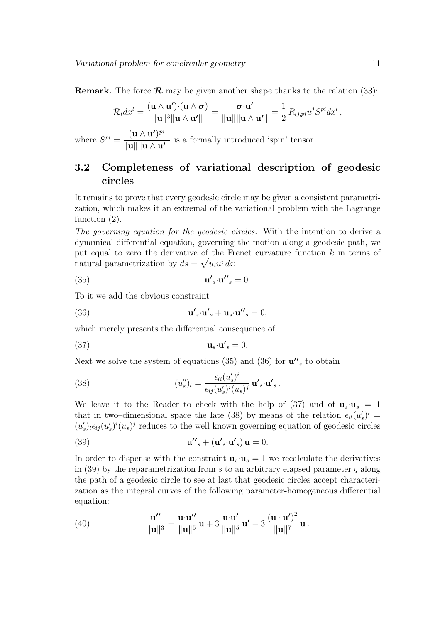**Remark.** The force  $\mathcal{R}$  may be given another shape thanks to the relation (33):

$$
\mathcal{R}_l dx^l = \frac{(\mathbf{u} \wedge \mathbf{u}') \cdot (\mathbf{u} \wedge \boldsymbol{\sigma})}{\|\mathbf{u}\|^3 \|\mathbf{u} \wedge \mathbf{u}'\|} = \frac{\boldsymbol{\sigma} \cdot \mathbf{u}'}{\|\mathbf{u}\| \|\mathbf{u} \wedge \mathbf{u}'\|} = \frac{1}{2} R_{lj,pi} u^j S^{pi} dx^l
$$

where  $S^{pi} = \frac{(\mathbf{u} \wedge \mathbf{u'})^{pi}}{||\mathbf{u}|| \cdot ||\mathbf{u}||}$  $\frac{\mathbf{u} \cdot \mathbf{u} \cdot \mathbf{u}'}{\|\mathbf{u}\| \|\mathbf{u} \wedge \mathbf{u}'\|}$  is a formally introduced 'spin' tensor.

# 3.2 Completeness of variational description of geodesic circles

It remains to prove that every geodesic circle may be given a consistent parametrization, which makes it an extremal of the variational problem with the Lagrange function (2).

The governing equation for the geodesic circles. With the intention to derive a dynamical differential equation, governing the motion along a geodesic path, we put equal to zero the derivative of the Frenet curvature function  $k$  in terms of natural parametrization by  $ds = \sqrt{u_i u^i} d\varsigma$ :

(35) 
$$
\mathbf{u'}_{s} \cdot \mathbf{u''}_{s} = 0.
$$

To it we add the obvious constraint

(36) 
$$
\mathbf{u'}_s \cdot \mathbf{u'}_s + \mathbf{u}_s \cdot \mathbf{u''}_s = 0,
$$

which merely presents the differential consequence of

$$
\mathbf{u}_s \cdot \mathbf{u'}_s = 0.
$$

Next we solve the system of equations  $(35)$  and  $(36)$  for  $\mathbf{u''}_s$  to obtain

(38) 
$$
(u''_s)_l = \frac{\epsilon_{li}(u'_s)^i}{\epsilon_{ij}(u'_s)^i(u_s)^j} \mathbf{u'}_s \cdot \mathbf{u'}_s.
$$

We leave it to the Reader to check with the help of (37) and of  $\mathbf{u}_s \cdot \mathbf{u}_s = 1$ that in two–dimensional space the late (38) by means of the relation  $\epsilon_{il}(u_s')^i$  =  $(u'_s)_l \epsilon_{ij} (u'_s)^i (u_s)^j$  reduces to the well known governing equation of geodesic circles

(39) 
$$
\mathbf{u''}_s + (\mathbf{u'}_s \cdot \mathbf{u'}_s) \mathbf{u} = 0.
$$

In order to dispense with the constraint  $\mathbf{u}_s \cdot \mathbf{u}_s = 1$  we recalculate the derivatives in (39) by the reparametrization from s to an arbitrary elapsed parameter  $\varsigma$  along the path of a geodesic circle to see at last that geodesic circles accept characterization as the integral curves of the following parameter-homogeneous differential equation:

(40) 
$$
\frac{\mathbf{u''}}{\|\mathbf{u}\|^3} = \frac{\mathbf{u} \cdot \mathbf{u''}}{\|\mathbf{u}\|^5} \mathbf{u} + 3 \frac{\mathbf{u} \cdot \mathbf{u'}}{\|\mathbf{u}\|^5} \mathbf{u'} - 3 \frac{(\mathbf{u} \cdot \mathbf{u'})^2}{\|\mathbf{u}\|^7} \mathbf{u}.
$$

,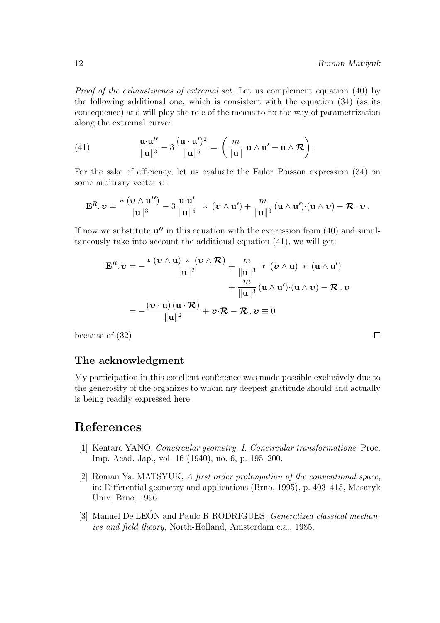$\Box$ 

Proof of the exhaustivenes of extremal set. Let us complement equation (40) by the following additional one, which is consistent with the equation (34) (as its consequence) and will play the role of the means to fix the way of parametrization along the extremal curve:

(41) 
$$
\frac{\mathbf{u} \cdot \mathbf{u''}}{\|\mathbf{u}\|^3} - 3 \frac{(\mathbf{u} \cdot \mathbf{u'})^2}{\|\mathbf{u}\|^5} = \left(\frac{m}{\|\mathbf{u}\|} \mathbf{u} \wedge \mathbf{u'} - \mathbf{u} \wedge \mathcal{R}\right).
$$

For the sake of efficiency, let us evaluate the Euler–Poisson expression (34) on some arbitrary vector  $\boldsymbol{v}$ :

$$
\mathbf{E}^R.\,\boldsymbol{v}=\frac{\ast\,\left(\boldsymbol{v}\wedge\mathbf{u''}\right)}{\|\mathbf{u}\|^3}-3\,\frac{\mathbf{u}\!\cdot\!\mathbf{u'}}{\|\mathbf{u}\|^5}\ \ \ast\ \left(\boldsymbol{v}\wedge\mathbf{u'}\right)+\frac{m}{\|\mathbf{u}\|^3}\left(\mathbf{u}\wedge\mathbf{u'}\right)\!\cdot\!\left(\mathbf{u}\wedge\boldsymbol{v}\right)-\boldsymbol{\mathcal{R}}.\,\boldsymbol{v}\,.
$$

If now we substitute  $\mathbf{u''}$  in this equation with the expression from (40) and simultaneously take into account the additional equation (41), we will get:

$$
\mathbf{E}^{R}.\,\boldsymbol{v} = -\frac{\ast\,(\boldsymbol{v}\wedge\mathbf{u})\,\ast\,(\boldsymbol{v}\wedge\mathcal{R})}{\|\mathbf{u}\|^{2}} + \frac{m}{\|\mathbf{u}\|^{3}}\,\ast\,(\boldsymbol{v}\wedge\mathbf{u})\,\ast\,(\mathbf{u}\wedge\mathbf{u}')+ \frac{m}{\|\mathbf{u}\|^{3}}\,(\mathbf{u}\wedge\mathbf{u}')\cdot(\mathbf{u}\wedge\boldsymbol{v}) - \mathcal{R}.\,\boldsymbol{v}= -\frac{(\boldsymbol{v}\cdot\mathbf{u})(\mathbf{u}\cdot\mathcal{R})}{\|\mathbf{u}\|^{2}} + \boldsymbol{v}\cdot\mathcal{R} - \mathcal{R}.\,\boldsymbol{v}\equiv 0
$$

because of (32)

### The acknowledgment

My participation in this excellent conference was made possible exclusively due to the generosity of the organizes to whom my deepest gratitude should and actually is being readily expressed here.

# References

- [1] Kentaro YANO, Concircular geometry. I. Concircular transformations. Proc. Imp. Acad. Jap., vol. 16 (1940), no. 6, p. 195–200.
- [2] Roman Ya. MATSYUK, A first order prolongation of the conventional space, in: Differential geometry and applications (Brno, 1995), p. 403–415, Masaryk Univ, Brno, 1996.
- [3] Manuel De LEÓN and Paulo R RODRIGUES, *Generalized classical mechan*ics and field theory, North-Holland, Amsterdam e.a., 1985.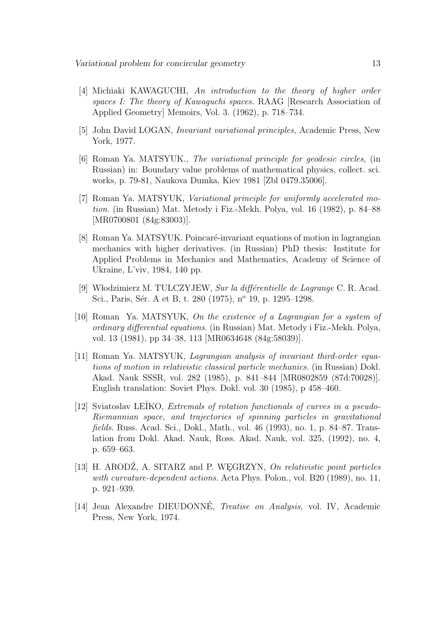- [4] Michiaki KAWAGUCHI, An introduction to the theory of higher order spaces I: The theory of Kawaguchi spaces. RAAG [Research Association of Applied Geometry] Memoirs, Vol. 3. (1962), p. 718–734.
- [5] John David LOGAN, Invariant variational principles, Academic Press, New York, 1977.
- [6] Roman Ya. MATSYUK., The variational principle for geodesic circles, (in Russian) in: Boundary value problems of mathematical physics, collect. sci. works, p. 79-81, Naukova Dumka, Kiev 1981 [Zbl 0479.35006].
- [7] Roman Ya. MATSYUK, Variational principle for uniformly accelerated motion. (in Russian) Mat. Metody i Fiz.-Mekh. Polya, vol. 16 (1982), p. 84–88 [MR0700801 (84g:83003)].
- [8] Roman Ya. MATSYUK. Poincaré-invariant equations of motion in lagrangian mechanics with higher derivatives. (in Russian) PhD thesis: Institute for Applied Problems in Mechanics and Mathematics, Academy of Science of Ukraine, L'viv, 1984, 140 pp.
- [9] Włodzimierz M. TULCZYJEW, Sur la différentielle de Lagrange C. R. Acad. Sci., Paris, Sér. A et B, t. 280 (1975), nº 19, p. 1295–1298.
- [10] Roman Ya. MATSYUK, On the existence of a Lagrangian for a system of ordinary differential equations. (in Russian) Mat. Metody i Fiz.-Mekh. Polya, vol. 13 (1981), pp 34–38, 113 [MR0634648 (84g:58039)].
- [11] Roman Ya. MATSYUK, *Lagrangian analysis of invariant third-order equa*tions of motion in relativistic classical particle mechanics. (in Russian) Dokl. Akad. Nauk SSSR, vol. 282 (1985), p. 841–844 [MR0802859 (87d:70028)]. English translation: Soviet Phys. Dokl. vol. 30 (1985), p 458–460.
- [12] Sviatoslav LEIKO, *Extremals of rotation functionals of curves in a pseudo-*Riemannian space, and trajectories of spinning particles in gravitational fields. Russ. Acad. Sci., Dokl., Math., vol. 46 (1993), no. 1, p. 84–87. Translation from Dokl. Akad. Nauk, Ross. Akad. Nauk, vol. 325, (1992), no. 4, p. 659–663.
- [13] H. ARODZ, A. SITARZ and P. WEGRZYN,  $On$  relativistic point particles with curvature-dependent actions. Acta Phys. Polon., vol. B20 (1989), no. 11, p. 921–939.
- [14] Jean Alexandre DIEUDONNÉ, *Treatise on Analysis*, vol. IV, Academic Press, New York, 1974.